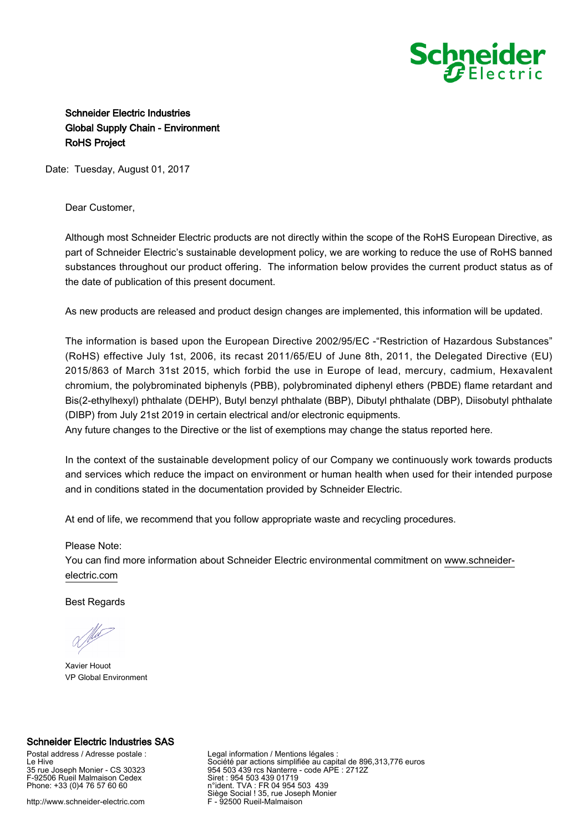

## Schneider Electric Industries Global Supply Chain - Environment RoHS Project

Date: Tuesday, August 01, 2017

## Dear Customer,

Although most Schneider Electric products are not directly within the scope of the RoHS European Directive, as part of Schneider Electric's sustainable development policy, we are working to reduce the use of RoHS banned substances throughout our product offering. The information below provides the current product status as of the date of publication of this present document.

As new products are released and product design changes are implemented, this information will be updated.

The information is based upon the European Directive 2002/95/EC -"Restriction of Hazardous Substances" (RoHS) effective July 1st, 2006, its recast 2011/65/EU of June 8th, 2011, the Delegated Directive (EU) 2015/863 of March 31st 2015, which forbid the use in Europe of lead, mercury, cadmium, Hexavalent chromium, the polybrominated biphenyls (PBB), polybrominated diphenyl ethers (PBDE) flame retardant and Bis(2-ethylhexyl) phthalate (DEHP), Butyl benzyl phthalate (BBP), Dibutyl phthalate (DBP), Diisobutyl phthalate (DIBP) from July 21st 2019 in certain electrical and/or electronic equipments.

Any future changes to the Directive or the list of exemptions may change the status reported here.

In the context of the sustainable development policy of our Company we continuously work towards products and services which reduce the impact on environment or human health when used for their intended purpose and in conditions stated in the documentation provided by Schneider Electric.

At end of life, we recommend that you follow appropriate waste and recycling procedures.

## Please Note:

You can find more information about Schneider Electric environmental commitment on [www.schneider](https://www.schneider-electric.com)[electric.com](https://www.schneider-electric.com)

Best Regards

Xavier Houot VP Global Environment

## Schneider Electric Industries SAS

Postal address / Adresse postale : Le Hive 35 rue Joseph Monier - CS 30323 F-92506 Rueil Malmaison Cedex Phone: +33 (0)4 76 57 60 60

http://www.schneider-electric.com

Legal information / Mentions légales : Société par actions simplifiée au capital de 896,313,776 euros 954 503 439 rcs Nanterre - code APE : 2712Z Siret : 954 503 439 01719 n°ident. TVA : FR 04 954 503 439 Siège Social ! 35, rue Joseph Monier F - 92500 Rueil-Malmaison